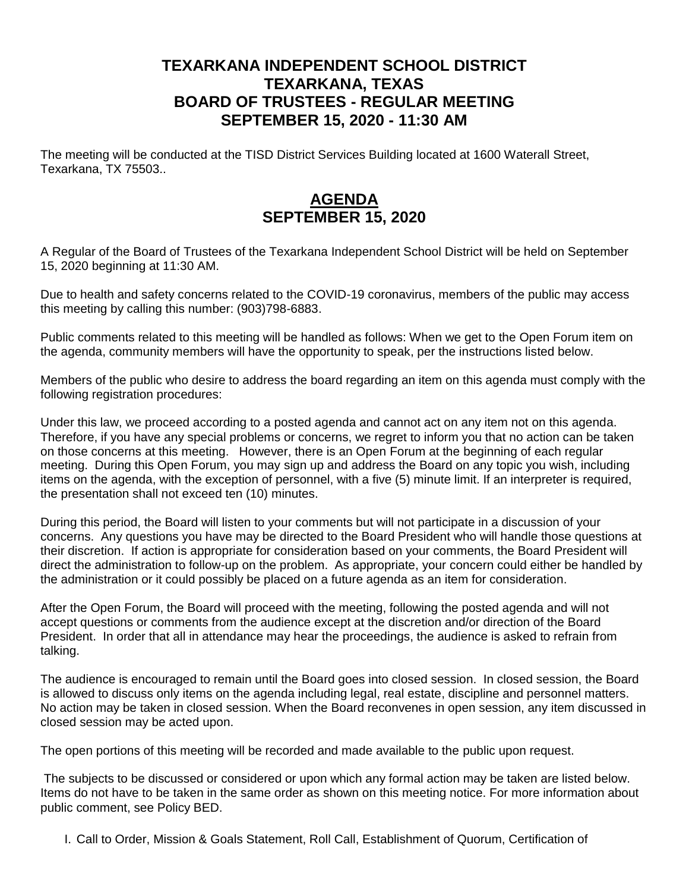## **TEXARKANA INDEPENDENT SCHOOL DISTRICT TEXARKANA, TEXAS BOARD OF TRUSTEES - REGULAR MEETING SEPTEMBER 15, 2020 - 11:30 AM**

The meeting will be conducted at the TISD District Services Building located at 1600 Waterall Street, Texarkana, TX 75503..

## **AGENDA SEPTEMBER 15, 2020**

A Regular of the Board of Trustees of the Texarkana Independent School District will be held on September 15, 2020 beginning at 11:30 AM.

Due to health and safety concerns related to the COVID-19 coronavirus, members of the public may access this meeting by calling this number: (903)798-6883.

Public comments related to this meeting will be handled as follows: When we get to the Open Forum item on the agenda, community members will have the opportunity to speak, per the instructions listed below.

Members of the public who desire to address the board regarding an item on this agenda must comply with the following registration procedures:

Under this law, we proceed according to a posted agenda and cannot act on any item not on this agenda. Therefore, if you have any special problems or concerns, we regret to inform you that no action can be taken on those concerns at this meeting. However, there is an Open Forum at the beginning of each regular meeting. During this Open Forum, you may sign up and address the Board on any topic you wish, including items on the agenda, with the exception of personnel, with a five (5) minute limit. If an interpreter is required, the presentation shall not exceed ten (10) minutes.

During this period, the Board will listen to your comments but will not participate in a discussion of your concerns. Any questions you have may be directed to the Board President who will handle those questions at their discretion. If action is appropriate for consideration based on your comments, the Board President will direct the administration to follow-up on the problem. As appropriate, your concern could either be handled by the administration or it could possibly be placed on a future agenda as an item for consideration.

After the Open Forum, the Board will proceed with the meeting, following the posted agenda and will not accept questions or comments from the audience except at the discretion and/or direction of the Board President. In order that all in attendance may hear the proceedings, the audience is asked to refrain from talking.

The audience is encouraged to remain until the Board goes into closed session. In closed session, the Board is allowed to discuss only items on the agenda including legal, real estate, discipline and personnel matters. No action may be taken in closed session. When the Board reconvenes in open session, any item discussed in closed session may be acted upon.

The open portions of this meeting will be recorded and made available to the public upon request.

The subjects to be discussed or considered or upon which any formal action may be taken are listed below. Items do not have to be taken in the same order as shown on this meeting notice. For more information about public comment, see Policy BED.

I. Call to Order, Mission & Goals Statement, Roll Call, Establishment of Quorum, Certification of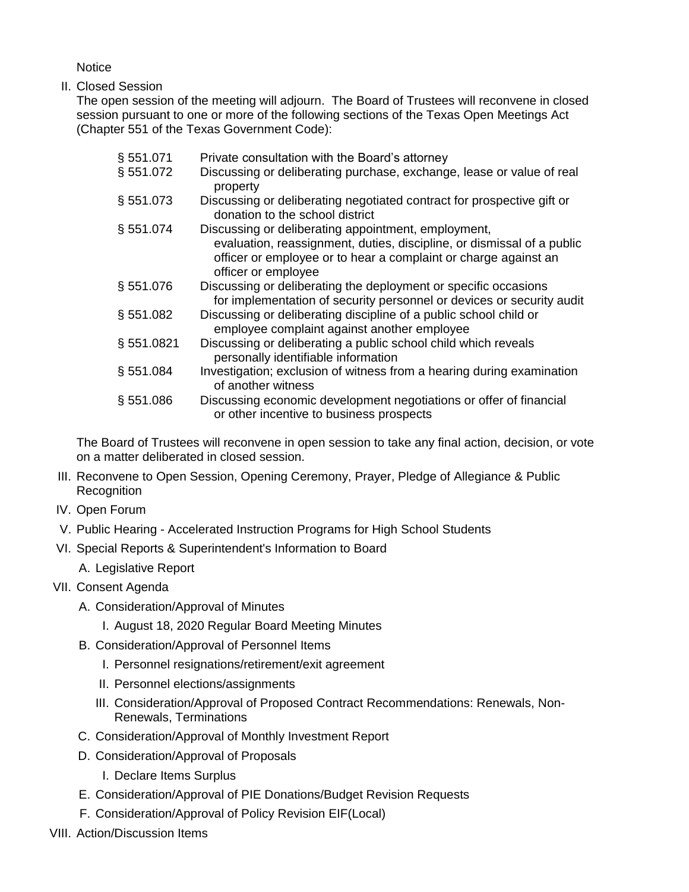**Notice** 

II. Closed Session

The open session of the meeting will adjourn. The Board of Trustees will reconvene in closed session pursuant to one or more of the following sections of the Texas Open Meetings Act (Chapter 551 of the Texas Government Code):

| § 551.071  | Private consultation with the Board's attorney                                                                                                                                                                          |
|------------|-------------------------------------------------------------------------------------------------------------------------------------------------------------------------------------------------------------------------|
| § 551.072  | Discussing or deliberating purchase, exchange, lease or value of real<br>property                                                                                                                                       |
| § 551.073  | Discussing or deliberating negotiated contract for prospective gift or<br>donation to the school district                                                                                                               |
| § 551.074  | Discussing or deliberating appointment, employment,<br>evaluation, reassignment, duties, discipline, or dismissal of a public<br>officer or employee or to hear a complaint or charge against an<br>officer or employee |
| §551.076   | Discussing or deliberating the deployment or specific occasions<br>for implementation of security personnel or devices or security audit                                                                                |
| § 551.082  | Discussing or deliberating discipline of a public school child or<br>employee complaint against another employee                                                                                                        |
| § 551.0821 | Discussing or deliberating a public school child which reveals<br>personally identifiable information                                                                                                                   |
| § 551.084  | Investigation; exclusion of witness from a hearing during examination<br>of another witness                                                                                                                             |
| § 551.086  | Discussing economic development negotiations or offer of financial<br>or other incentive to business prospects                                                                                                          |

The Board of Trustees will reconvene in open session to take any final action, decision, or vote on a matter deliberated in closed session.

- III. Reconvene to Open Session, Opening Ceremony, Prayer, Pledge of Allegiance & Public **Recognition**
- IV. Open Forum
- V. Public Hearing Accelerated Instruction Programs for High School Students
- VI. Special Reports & Superintendent's Information to Board
	- A. Legislative Report
- VII. Consent Agenda
	- A. Consideration/Approval of Minutes
		- I. August 18, 2020 Regular Board Meeting Minutes
	- B. Consideration/Approval of Personnel Items
		- I. Personnel resignations/retirement/exit agreement
		- II. Personnel elections/assignments
		- III. Consideration/Approval of Proposed Contract Recommendations: Renewals, Non-Renewals, Terminations
	- C. Consideration/Approval of Monthly Investment Report
	- D. Consideration/Approval of Proposals
		- I. Declare Items Surplus
	- E. Consideration/Approval of PIE Donations/Budget Revision Requests
	- F. Consideration/Approval of Policy Revision EIF(Local)
- VIII. Action/Discussion Items